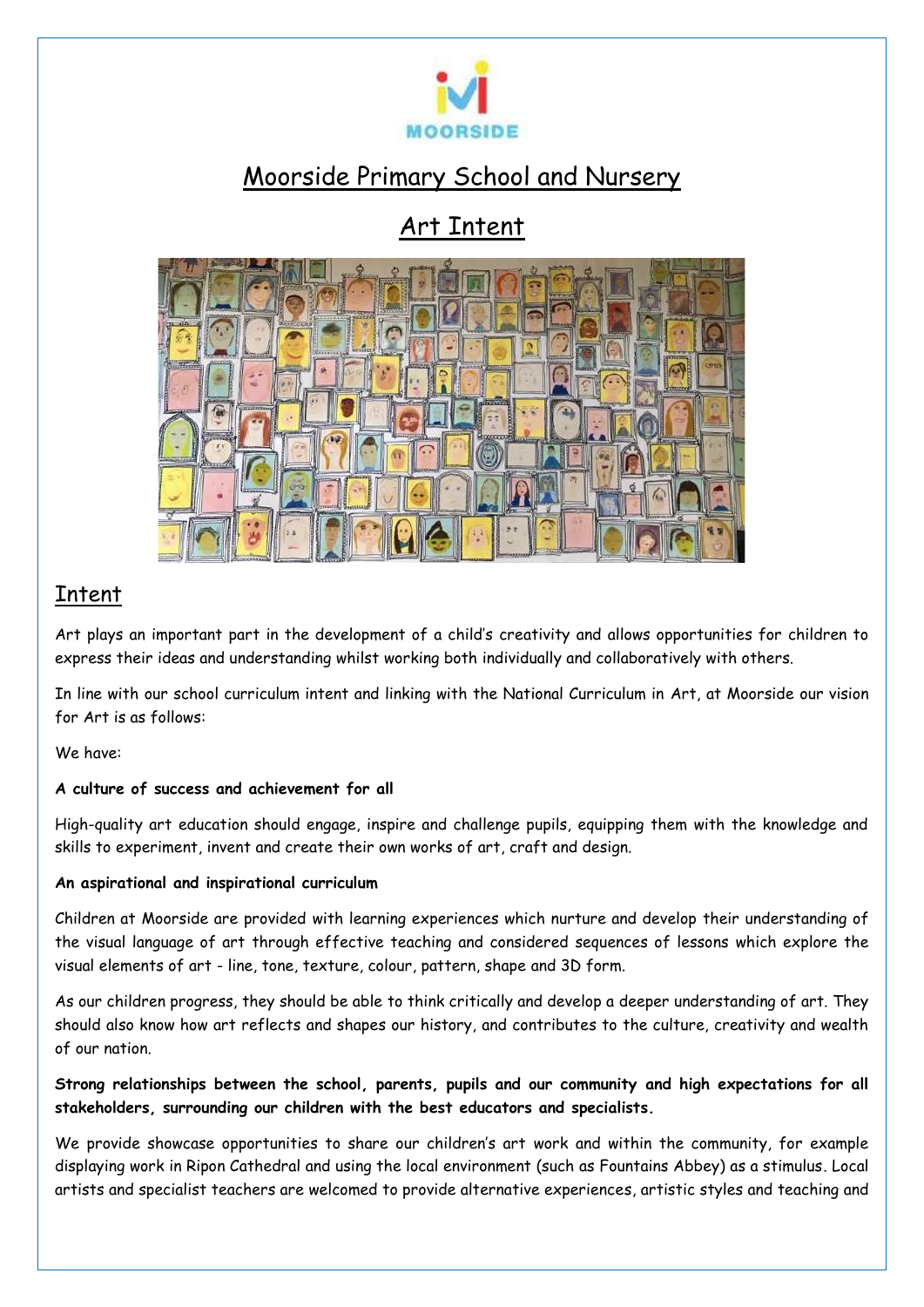

# Moorside Primary School and Nursery

# Art Intent



### Intent

Art plays an important part in the development of a child's creativity and allows opportunities for children to express their ideas and understanding whilst working both individually and collaboratively with others.

In line with our school curriculum intent and linking with the National Curriculum in Art, at Moorside our vision for Art is as follows:

We have:

#### **A culture of success and achievement for all**

High-quality art education should engage, inspire and challenge pupils, equipping them with the knowledge and skills to experiment, invent and create their own works of art, craft and design.

#### **An aspirational and inspirational curriculum**

Children at Moorside are provided with learning experiences which nurture and develop their understanding of the visual language of art through effective teaching and considered sequences of lessons which explore the visual elements of art - line, tone, texture, colour, pattern, shape and 3D form.

As our children progress, they should be able to think critically and develop a deeper understanding of art. They should also know how art reflects and shapes our history, and contributes to the culture, creativity and wealth of our nation.

### **Strong relationships between the school, parents, pupils and our community and high expectations for all stakeholders, surrounding our children with the best educators and specialists.**

We provide showcase opportunities to share our children's art work and within the community, for example displaying work in Ripon Cathedral and using the local environment (such as Fountains Abbey) as a stimulus. Local artists and specialist teachers are welcomed to provide alternative experiences, artistic styles and teaching and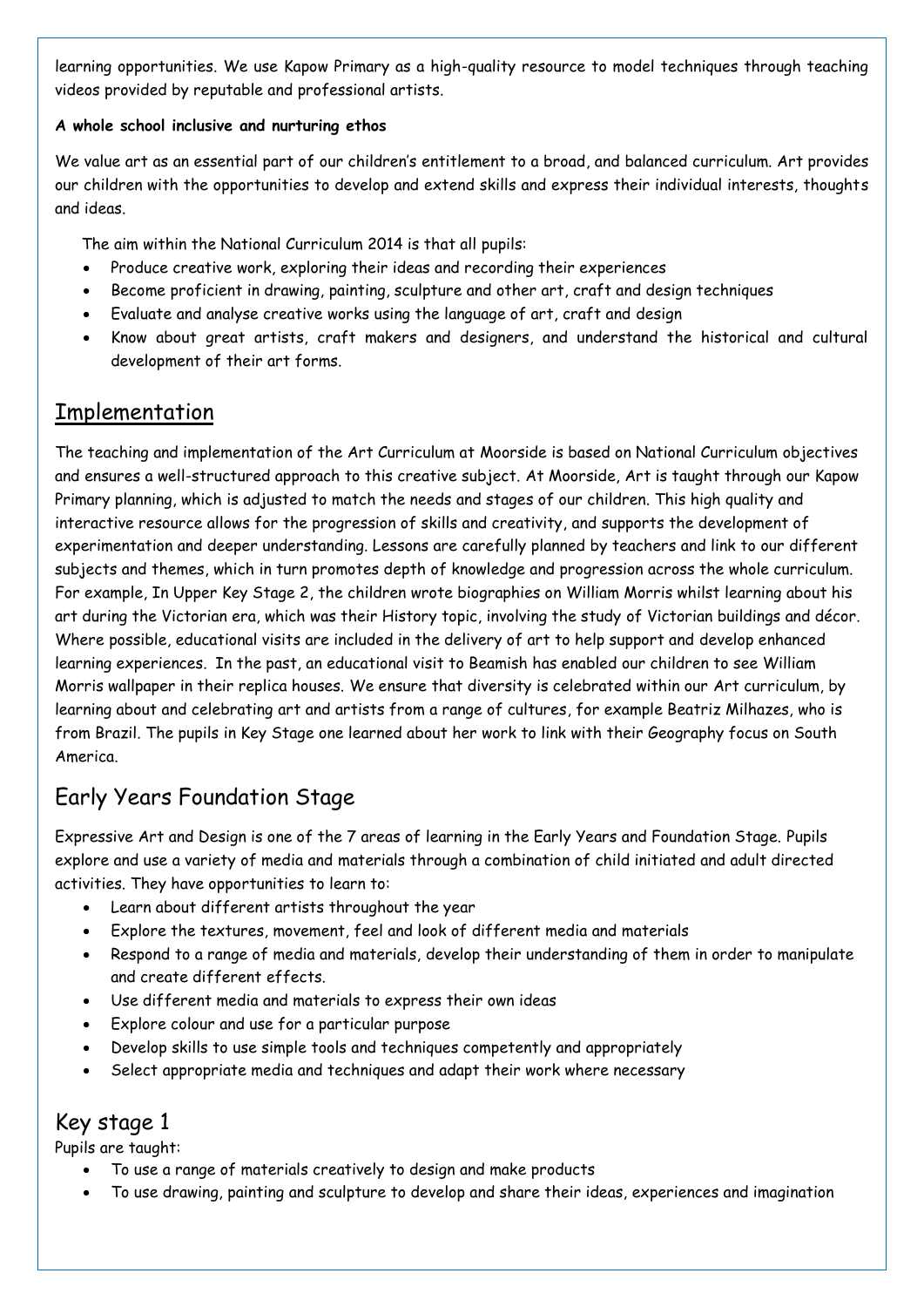learning opportunities. We use Kapow Primary as a high-quality resource to model techniques through teaching videos provided by reputable and professional artists.

#### **A whole school inclusive and nurturing ethos**

We value art as an essential part of our children's entitlement to a broad, and balanced curriculum. Art provides our children with the opportunities to develop and extend skills and express their individual interests, thoughts and ideas.

The aim within the National Curriculum 2014 is that all pupils:

- Produce creative work, exploring their ideas and recording their experiences
- Become proficient in drawing, painting, sculpture and other art, craft and design techniques
- Evaluate and analyse creative works using the language of art, craft and design
- Know about great artists, craft makers and designers, and understand the historical and cultural development of their art forms.

### **Implementation**

The teaching and implementation of the Art Curriculum at Moorside is based on National Curriculum objectives and ensures a well-structured approach to this creative subject. At Moorside, Art is taught through our Kapow Primary planning, which is adjusted to match the needs and stages of our children. This high quality and interactive resource allows for the progression of skills and creativity, and supports the development of experimentation and deeper understanding. Lessons are carefully planned by teachers and link to our different subjects and themes, which in turn promotes depth of knowledge and progression across the whole curriculum. For example, In Upper Key Stage 2, the children wrote biographies on William Morris whilst learning about his art during the Victorian era, which was their History topic, involving the study of Victorian buildings and décor. Where possible, educational visits are included in the delivery of art to help support and develop enhanced learning experiences. In the past, an educational visit to Beamish has enabled our children to see William Morris wallpaper in their replica houses. We ensure that diversity is celebrated within our Art curriculum, by learning about and celebrating art and artists from a range of cultures, for example Beatriz Milhazes, who is from Brazil. The pupils in Key Stage one learned about her work to link with their Geography focus on South America.

## Early Years Foundation Stage

Expressive Art and Design is one of the 7 areas of learning in the Early Years and Foundation Stage. Pupils explore and use a variety of media and materials through a combination of child initiated and adult directed activities. They have opportunities to learn to:

- Learn about different artists throughout the year
- Explore the textures, movement, feel and look of different media and materials
- Respond to a range of media and materials, develop their understanding of them in order to manipulate and create different effects.
- Use different media and materials to express their own ideas
- Explore colour and use for a particular purpose
- Develop skills to use simple tools and techniques competently and appropriately
- Select appropriate media and techniques and adapt their work where necessary

### Key stage 1

Pupils are taught:

- To use a range of materials creatively to design and make products
- To use drawing, painting and sculpture to develop and share their ideas, experiences and imagination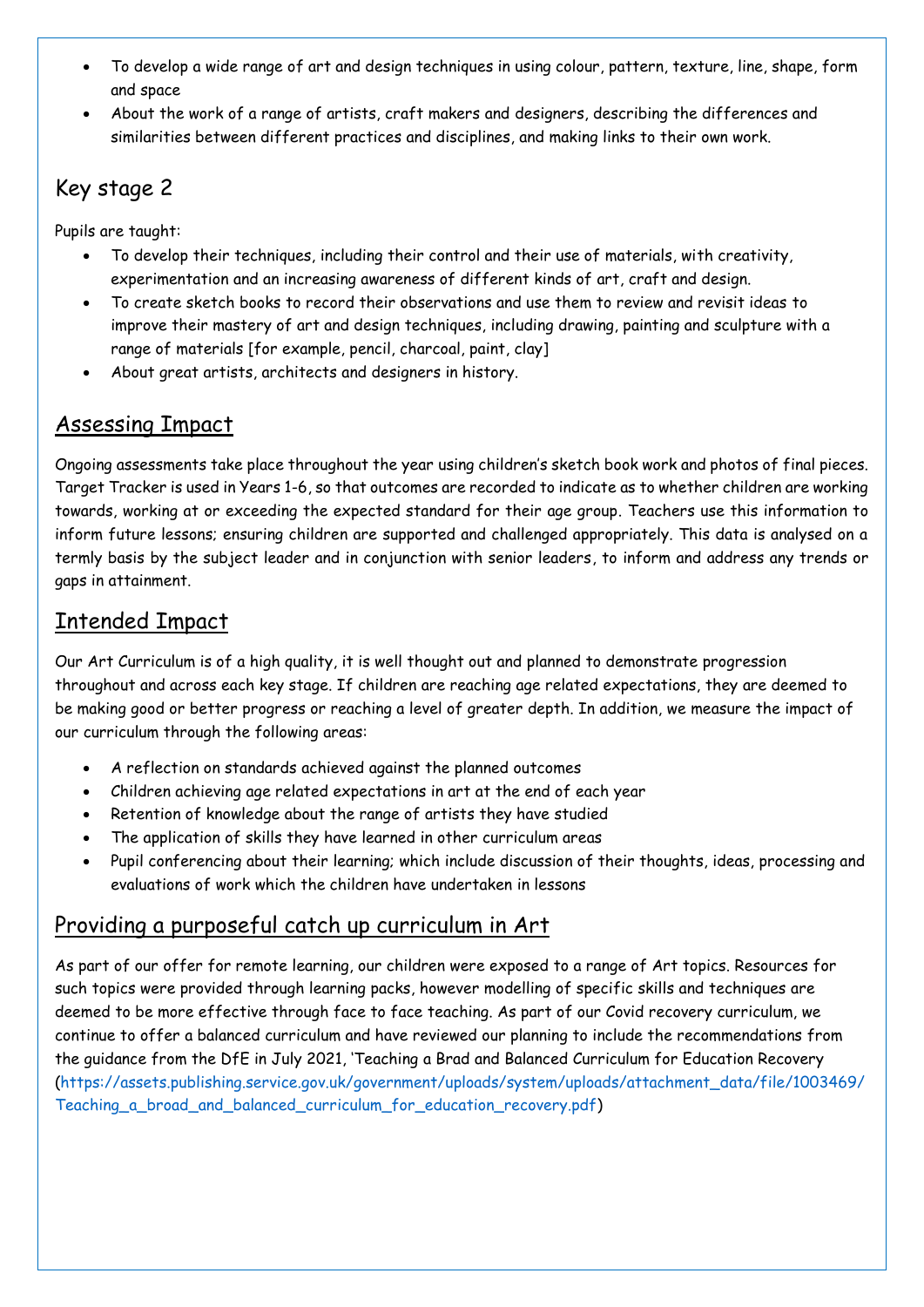- To develop a wide range of art and design techniques in using colour, pattern, texture, line, shape, form and space
- About the work of a range of artists, craft makers and designers, describing the differences and similarities between different practices and disciplines, and making links to their own work.

# Key stage 2

Pupils are taught:

- To develop their techniques, including their control and their use of materials, with creativity, experimentation and an increasing awareness of different kinds of art, craft and design.
- To create sketch books to record their observations and use them to review and revisit ideas to improve their mastery of art and design techniques, including drawing, painting and sculpture with a range of materials [for example, pencil, charcoal, paint, clay]
- About great artists, architects and designers in history.

### Assessing Impact

Ongoing assessments take place throughout the year using children's sketch book work and photos of final pieces. Target Tracker is used in Years 1-6, so that outcomes are recorded to indicate as to whether children are working towards, working at or exceeding the expected standard for their age group. Teachers use this information to inform future lessons; ensuring children are supported and challenged appropriately. This data is analysed on a termly basis by the subject leader and in conjunction with senior leaders, to inform and address any trends or gaps in attainment.

### Intended Impact

Our Art Curriculum is of a high quality, it is well thought out and planned to demonstrate progression throughout and across each key stage. If children are reaching age related expectations, they are deemed to be making good or better progress or reaching a level of greater depth. In addition, we measure the impact of our curriculum through the following areas:

- A reflection on standards achieved against the planned outcomes
- Children achieving age related expectations in art at the end of each year
- Retention of knowledge about the range of artists they have studied
- The application of skills they have learned in other curriculum areas
- Pupil conferencing about their learning; which include discussion of their thoughts, ideas, processing and evaluations of work which the children have undertaken in lessons

## Providing a purposeful catch up curriculum in Art

As part of our offer for remote learning, our children were exposed to a range of Art topics. Resources for such topics were provided through learning packs, however modelling of specific skills and techniques are deemed to be more effective through face to face teaching. As part of our Covid recovery curriculum, we continue to offer a balanced curriculum and have reviewed our planning to include the recommendations from the guidance from the DfE in July 2021, 'Teaching a Brad and Balanced Curriculum for Education Recovery [\(https://assets.publishing.service.gov.uk/government/uploads/system/uploads/attachment\\_data/file/1003469/](https://assets.publishing.service.gov.uk/government/uploads/system/uploads/attachment_data/file/1003469/Teaching_a_broad_and_balanced_curriculum_for_education_recovery.pdf) Teaching a broad and balanced curriculum for education recovery.pdf)